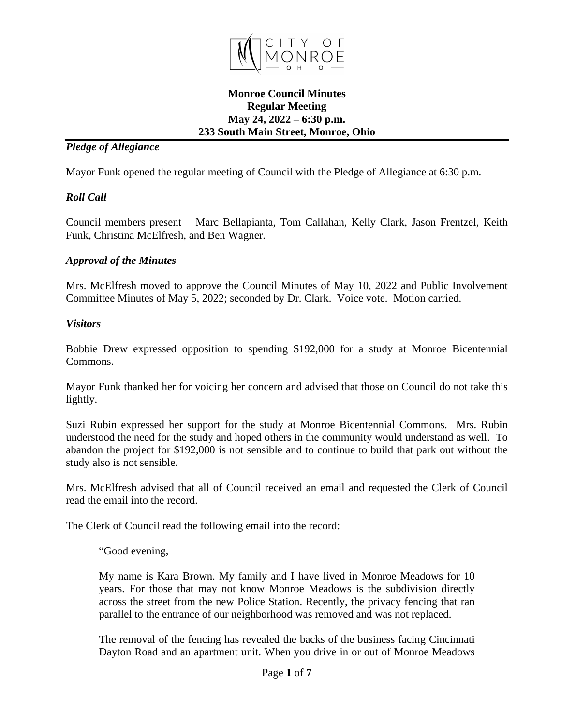

## **Monroe Council Minutes Regular Meeting May 24, 2022 – 6:30 p.m. 233 South Main Street, Monroe, Ohio**

## *Pledge of Allegiance*

Mayor Funk opened the regular meeting of Council with the Pledge of Allegiance at 6:30 p.m.

## *Roll Call*

Council members present – Marc Bellapianta, Tom Callahan, Kelly Clark, Jason Frentzel, Keith Funk, Christina McElfresh, and Ben Wagner.

## *Approval of the Minutes*

Mrs. McElfresh moved to approve the Council Minutes of May 10, 2022 and Public Involvement Committee Minutes of May 5, 2022; seconded by Dr. Clark. Voice vote. Motion carried.

### *Visitors*

Bobbie Drew expressed opposition to spending \$192,000 for a study at Monroe Bicentennial Commons.

Mayor Funk thanked her for voicing her concern and advised that those on Council do not take this lightly.

Suzi Rubin expressed her support for the study at Monroe Bicentennial Commons. Mrs. Rubin understood the need for the study and hoped others in the community would understand as well. To abandon the project for \$192,000 is not sensible and to continue to build that park out without the study also is not sensible.

Mrs. McElfresh advised that all of Council received an email and requested the Clerk of Council read the email into the record.

The Clerk of Council read the following email into the record:

"Good evening,

My name is Kara Brown. My family and I have lived in Monroe Meadows for 10 years. For those that may not know Monroe Meadows is the subdivision directly across the street from the new Police Station. Recently, the privacy fencing that ran parallel to the entrance of our neighborhood was removed and was not replaced.

The removal of the fencing has revealed the backs of the business facing Cincinnati Dayton Road and an apartment unit. When you drive in or out of Monroe Meadows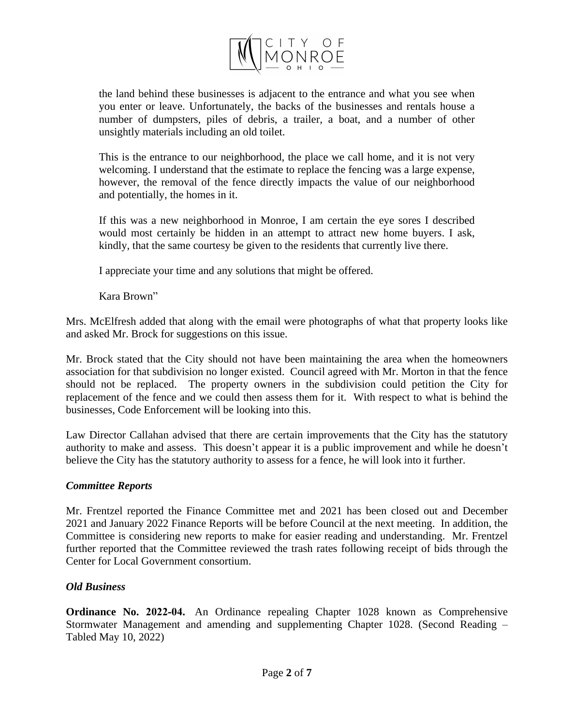

the land behind these businesses is adjacent to the entrance and what you see when you enter or leave. Unfortunately, the backs of the businesses and rentals house a number of dumpsters, piles of debris, a trailer, a boat, and a number of other unsightly materials including an old toilet.

This is the entrance to our neighborhood, the place we call home, and it is not very welcoming. I understand that the estimate to replace the fencing was a large expense, however, the removal of the fence directly impacts the value of our neighborhood and potentially, the homes in it.

If this was a new neighborhood in Monroe, I am certain the eye sores I described would most certainly be hidden in an attempt to attract new home buyers. I ask, kindly, that the same courtesy be given to the residents that currently live there.

I appreciate your time and any solutions that might be offered.

Kara Brown"

Mrs. McElfresh added that along with the email were photographs of what that property looks like and asked Mr. Brock for suggestions on this issue.

Mr. Brock stated that the City should not have been maintaining the area when the homeowners association for that subdivision no longer existed. Council agreed with Mr. Morton in that the fence should not be replaced. The property owners in the subdivision could petition the City for replacement of the fence and we could then assess them for it. With respect to what is behind the businesses, Code Enforcement will be looking into this.

Law Director Callahan advised that there are certain improvements that the City has the statutory authority to make and assess. This doesn't appear it is a public improvement and while he doesn't believe the City has the statutory authority to assess for a fence, he will look into it further.

### *Committee Reports*

Mr. Frentzel reported the Finance Committee met and 2021 has been closed out and December 2021 and January 2022 Finance Reports will be before Council at the next meeting. In addition, the Committee is considering new reports to make for easier reading and understanding. Mr. Frentzel further reported that the Committee reviewed the trash rates following receipt of bids through the Center for Local Government consortium.

# *Old Business*

**Ordinance No. 2022-04.** An Ordinance repealing Chapter 1028 known as Comprehensive Stormwater Management and amending and supplementing Chapter 1028. (Second Reading – Tabled May 10, 2022)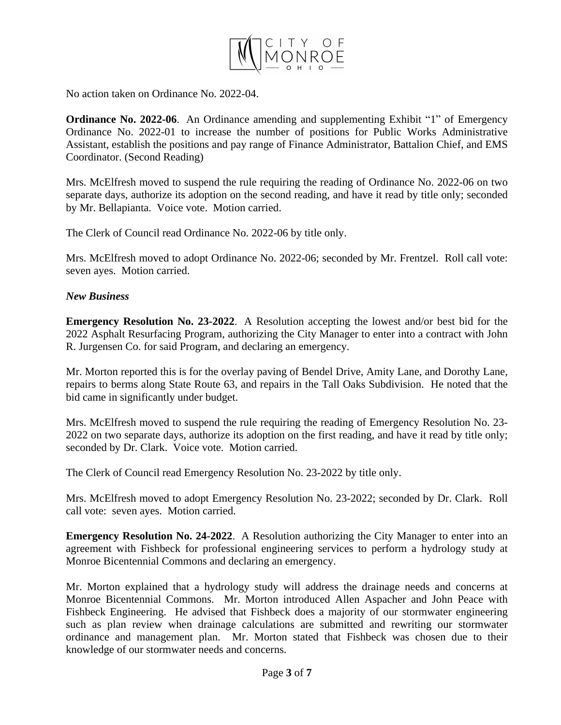

No action taken on Ordinance No. 2022-04.

**Ordinance No. 2022-06**. An Ordinance amending and supplementing Exhibit "1" of Emergency Ordinance No. 2022-01 to increase the number of positions for Public Works Administrative Assistant, establish the positions and pay range of Finance Administrator, Battalion Chief, and EMS Coordinator. (Second Reading)

Mrs. McElfresh moved to suspend the rule requiring the reading of Ordinance No. 2022-06 on two separate days, authorize its adoption on the second reading, and have it read by title only; seconded by Mr. Bellapianta. Voice vote. Motion carried.

The Clerk of Council read Ordinance No. 2022-06 by title only.

Mrs. McElfresh moved to adopt Ordinance No. 2022-06; seconded by Mr. Frentzel. Roll call vote: seven ayes. Motion carried.

### *New Business*

**Emergency Resolution No. 23-2022**. A Resolution accepting the lowest and/or best bid for the 2022 Asphalt Resurfacing Program, authorizing the City Manager to enter into a contract with John R. Jurgensen Co. for said Program, and declaring an emergency.

Mr. Morton reported this is for the overlay paving of Bendel Drive, Amity Lane, and Dorothy Lane, repairs to berms along State Route 63, and repairs in the Tall Oaks Subdivision. He noted that the bid came in significantly under budget.

Mrs. McElfresh moved to suspend the rule requiring the reading of Emergency Resolution No. 23- 2022 on two separate days, authorize its adoption on the first reading, and have it read by title only; seconded by Dr. Clark. Voice vote. Motion carried.

The Clerk of Council read Emergency Resolution No. 23-2022 by title only.

Mrs. McElfresh moved to adopt Emergency Resolution No. 23-2022; seconded by Dr. Clark. Roll call vote: seven ayes. Motion carried.

**Emergency Resolution No. 24-2022**. A Resolution authorizing the City Manager to enter into an agreement with Fishbeck for professional engineering services to perform a hydrology study at Monroe Bicentennial Commons and declaring an emergency.

Mr. Morton explained that a hydrology study will address the drainage needs and concerns at Monroe Bicentennial Commons. Mr. Morton introduced Allen Aspacher and John Peace with Fishbeck Engineering. He advised that Fishbeck does a majority of our stormwater engineering such as plan review when drainage calculations are submitted and rewriting our stormwater ordinance and management plan. Mr. Morton stated that Fishbeck was chosen due to their knowledge of our stormwater needs and concerns.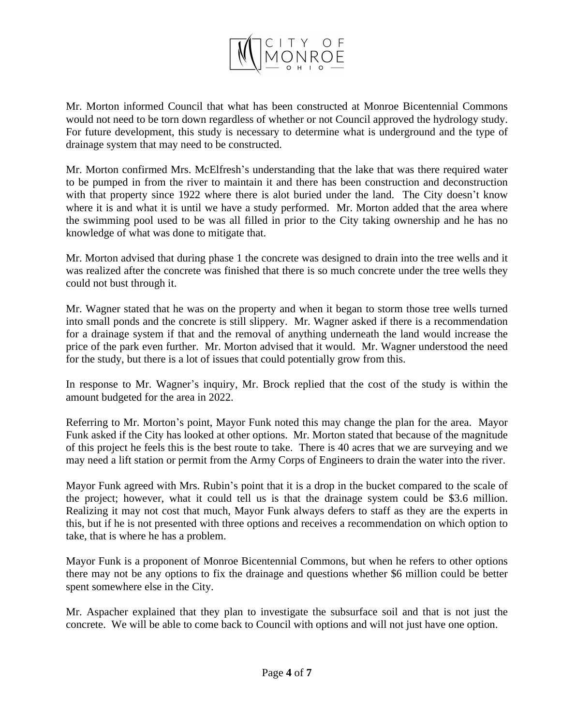

Mr. Morton informed Council that what has been constructed at Monroe Bicentennial Commons would not need to be torn down regardless of whether or not Council approved the hydrology study. For future development, this study is necessary to determine what is underground and the type of drainage system that may need to be constructed.

Mr. Morton confirmed Mrs. McElfresh's understanding that the lake that was there required water to be pumped in from the river to maintain it and there has been construction and deconstruction with that property since 1922 where there is alot buried under the land. The City doesn't know where it is and what it is until we have a study performed. Mr. Morton added that the area where the swimming pool used to be was all filled in prior to the City taking ownership and he has no knowledge of what was done to mitigate that.

Mr. Morton advised that during phase 1 the concrete was designed to drain into the tree wells and it was realized after the concrete was finished that there is so much concrete under the tree wells they could not bust through it.

Mr. Wagner stated that he was on the property and when it began to storm those tree wells turned into small ponds and the concrete is still slippery. Mr. Wagner asked if there is a recommendation for a drainage system if that and the removal of anything underneath the land would increase the price of the park even further. Mr. Morton advised that it would. Mr. Wagner understood the need for the study, but there is a lot of issues that could potentially grow from this.

In response to Mr. Wagner's inquiry, Mr. Brock replied that the cost of the study is within the amount budgeted for the area in 2022.

Referring to Mr. Morton's point, Mayor Funk noted this may change the plan for the area. Mayor Funk asked if the City has looked at other options. Mr. Morton stated that because of the magnitude of this project he feels this is the best route to take. There is 40 acres that we are surveying and we may need a lift station or permit from the Army Corps of Engineers to drain the water into the river.

Mayor Funk agreed with Mrs. Rubin's point that it is a drop in the bucket compared to the scale of the project; however, what it could tell us is that the drainage system could be \$3.6 million. Realizing it may not cost that much, Mayor Funk always defers to staff as they are the experts in this, but if he is not presented with three options and receives a recommendation on which option to take, that is where he has a problem.

Mayor Funk is a proponent of Monroe Bicentennial Commons, but when he refers to other options there may not be any options to fix the drainage and questions whether \$6 million could be better spent somewhere else in the City.

Mr. Aspacher explained that they plan to investigate the subsurface soil and that is not just the concrete. We will be able to come back to Council with options and will not just have one option.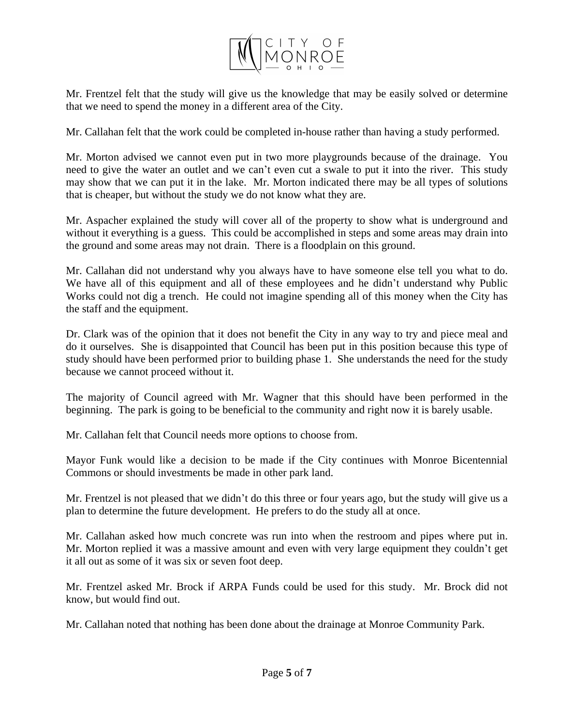

Mr. Frentzel felt that the study will give us the knowledge that may be easily solved or determine that we need to spend the money in a different area of the City.

Mr. Callahan felt that the work could be completed in-house rather than having a study performed.

Mr. Morton advised we cannot even put in two more playgrounds because of the drainage. You need to give the water an outlet and we can't even cut a swale to put it into the river. This study may show that we can put it in the lake. Mr. Morton indicated there may be all types of solutions that is cheaper, but without the study we do not know what they are.

Mr. Aspacher explained the study will cover all of the property to show what is underground and without it everything is a guess. This could be accomplished in steps and some areas may drain into the ground and some areas may not drain. There is a floodplain on this ground.

Mr. Callahan did not understand why you always have to have someone else tell you what to do. We have all of this equipment and all of these employees and he didn't understand why Public Works could not dig a trench. He could not imagine spending all of this money when the City has the staff and the equipment.

Dr. Clark was of the opinion that it does not benefit the City in any way to try and piece meal and do it ourselves. She is disappointed that Council has been put in this position because this type of study should have been performed prior to building phase 1. She understands the need for the study because we cannot proceed without it.

The majority of Council agreed with Mr. Wagner that this should have been performed in the beginning. The park is going to be beneficial to the community and right now it is barely usable.

Mr. Callahan felt that Council needs more options to choose from.

Mayor Funk would like a decision to be made if the City continues with Monroe Bicentennial Commons or should investments be made in other park land.

Mr. Frentzel is not pleased that we didn't do this three or four years ago, but the study will give us a plan to determine the future development. He prefers to do the study all at once.

Mr. Callahan asked how much concrete was run into when the restroom and pipes where put in. Mr. Morton replied it was a massive amount and even with very large equipment they couldn't get it all out as some of it was six or seven foot deep.

Mr. Frentzel asked Mr. Brock if ARPA Funds could be used for this study. Mr. Brock did not know, but would find out.

Mr. Callahan noted that nothing has been done about the drainage at Monroe Community Park.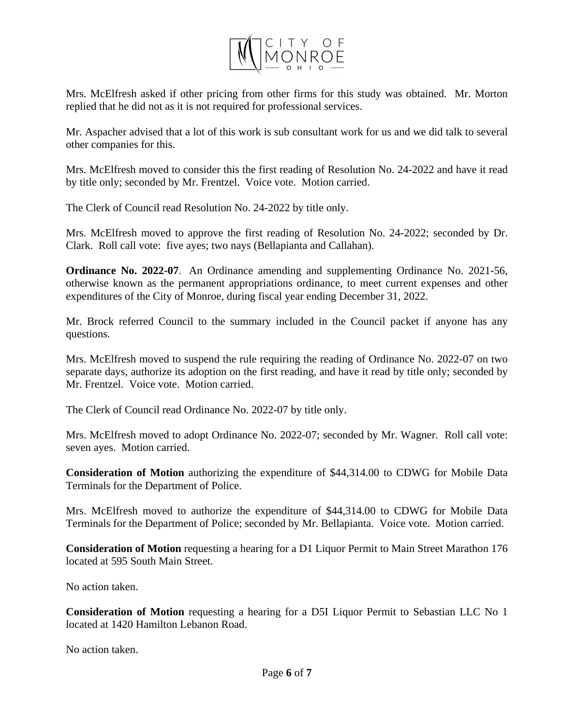

Mrs. McElfresh asked if other pricing from other firms for this study was obtained. Mr. Morton replied that he did not as it is not required for professional services.

Mr. Aspacher advised that a lot of this work is sub consultant work for us and we did talk to several other companies for this.

Mrs. McElfresh moved to consider this the first reading of Resolution No. 24-2022 and have it read by title only; seconded by Mr. Frentzel. Voice vote. Motion carried.

The Clerk of Council read Resolution No. 24-2022 by title only.

Mrs. McElfresh moved to approve the first reading of Resolution No. 24-2022; seconded by Dr. Clark. Roll call vote: five ayes; two nays (Bellapianta and Callahan).

**Ordinance No. 2022-07**. An Ordinance amending and supplementing Ordinance No. 2021-56, otherwise known as the permanent appropriations ordinance, to meet current expenses and other expenditures of the City of Monroe, during fiscal year ending December 31, 2022.

Mr. Brock referred Council to the summary included in the Council packet if anyone has any questions.

Mrs. McElfresh moved to suspend the rule requiring the reading of Ordinance No. 2022-07 on two separate days, authorize its adoption on the first reading, and have it read by title only; seconded by Mr. Frentzel. Voice vote. Motion carried.

The Clerk of Council read Ordinance No. 2022-07 by title only.

Mrs. McElfresh moved to adopt Ordinance No. 2022-07; seconded by Mr. Wagner. Roll call vote: seven ayes. Motion carried.

**Consideration of Motion** authorizing the expenditure of \$44,314.00 to CDWG for Mobile Data Terminals for the Department of Police.

Mrs. McElfresh moved to authorize the expenditure of \$44,314.00 to CDWG for Mobile Data Terminals for the Department of Police; seconded by Mr. Bellapianta. Voice vote. Motion carried.

**Consideration of Motion** requesting a hearing for a D1 Liquor Permit to Main Street Marathon 176 located at 595 South Main Street.

No action taken.

**Consideration of Motion** requesting a hearing for a D5I Liquor Permit to Sebastian LLC No 1 located at 1420 Hamilton Lebanon Road.

No action taken.